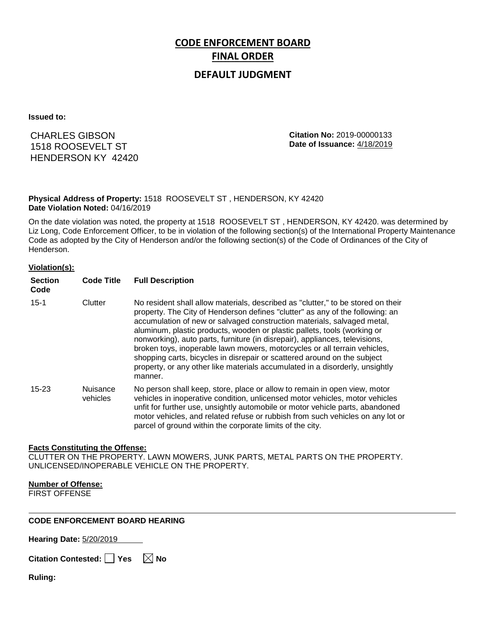# **CODE ENFORCEMENT BOARD FINAL ORDER**

## **DEFAULT JUDGMENT**

**Issued to:**

CHARLES GIBSON 1518 ROOSEVELT ST HENDERSON KY 42420 **Citation No:** 2019-00000133 **Date of Issuance:** 4/18/2019

#### **Physical Address of Property:** 1518 ROOSEVELT ST , HENDERSON, KY 42420 **Date Violation Noted:** 04/16/2019

On the date violation was noted, the property at 1518 ROOSEVELT ST , HENDERSON, KY 42420. was determined by Liz Long, Code Enforcement Officer, to be in violation of the following section(s) of the International Property Maintenance Code as adopted by the City of Henderson and/or the following section(s) of the Code of Ordinances of the City of Henderson.

#### **Violation(s):**

| <b>Section</b><br>Code | <b>Code Title</b>    | <b>Full Description</b>                                                                                                                                                                                                                                                                                                                                                                                                                                                                                                                                                                                                                                     |
|------------------------|----------------------|-------------------------------------------------------------------------------------------------------------------------------------------------------------------------------------------------------------------------------------------------------------------------------------------------------------------------------------------------------------------------------------------------------------------------------------------------------------------------------------------------------------------------------------------------------------------------------------------------------------------------------------------------------------|
| $15 - 1$               | Clutter              | No resident shall allow materials, described as "clutter," to be stored on their<br>property. The City of Henderson defines "clutter" as any of the following: an<br>accumulation of new or salvaged construction materials, salvaged metal,<br>aluminum, plastic products, wooden or plastic pallets, tools (working or<br>nonworking), auto parts, furniture (in disrepair), appliances, televisions,<br>broken toys, inoperable lawn mowers, motorcycles or all terrain vehicles,<br>shopping carts, bicycles in disrepair or scattered around on the subject<br>property, or any other like materials accumulated in a disorderly, unsightly<br>manner. |
| $15 - 23$              | Nuisance<br>vehicles | No person shall keep, store, place or allow to remain in open view, motor<br>vehicles in inoperative condition, unlicensed motor vehicles, motor vehicles<br>unfit for further use, unsightly automobile or motor vehicle parts, abandoned<br>motor vehicles, and related refuse or rubbish from such vehicles on any lot or<br>parcel of ground within the corporate limits of the city.                                                                                                                                                                                                                                                                   |

#### **Facts Constituting the Offense:**

CLUTTER ON THE PROPERTY. LAWN MOWERS, JUNK PARTS, METAL PARTS ON THE PROPERTY. UNLICENSED/INOPERABLE VEHICLE ON THE PROPERTY.

### **Number of Offense:**

FIRST OFFENSE

#### **CODE ENFORCEMENT BOARD HEARING**

**Hearing Date:** 5/20/2019

|  | Citation Contested: [ | $\sqrt{ }$ Yes | $\boxtimes$ No |
|--|-----------------------|----------------|----------------|
|--|-----------------------|----------------|----------------|

**Ruling:**